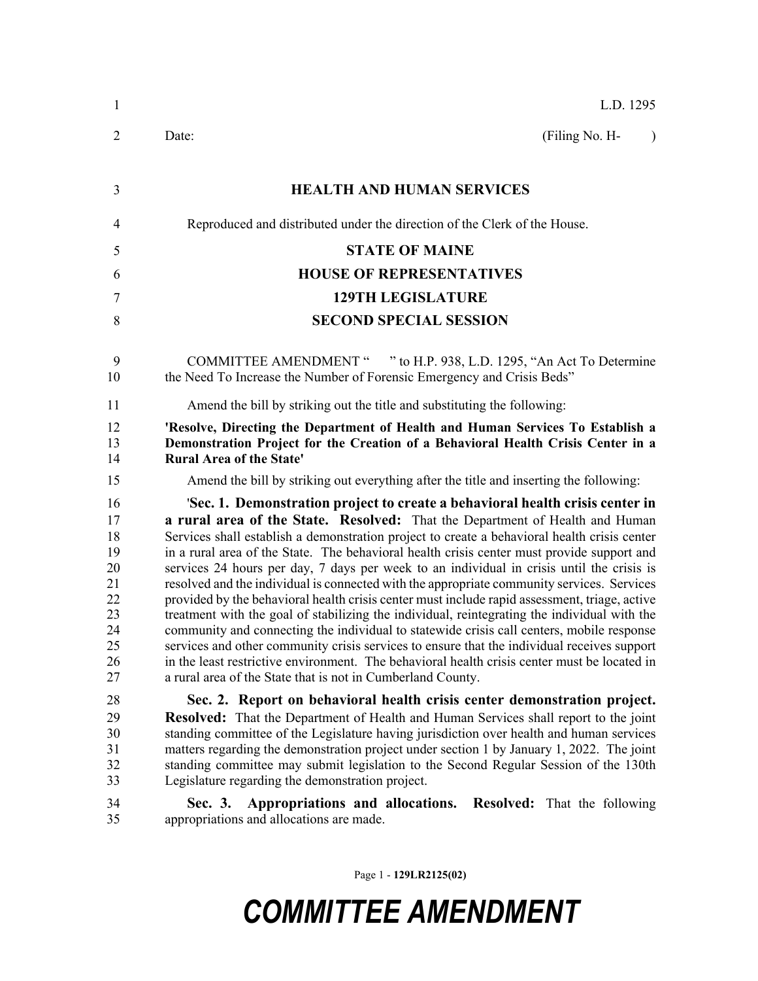| 1                                                                    | L.D. 1295                                                                                                                                                                                                                                                                                                                                                                                                                                                                                                                                                                                                                                                                                                                                                                                                                                                                                                                                                                                                                                                                                                          |  |  |  |
|----------------------------------------------------------------------|--------------------------------------------------------------------------------------------------------------------------------------------------------------------------------------------------------------------------------------------------------------------------------------------------------------------------------------------------------------------------------------------------------------------------------------------------------------------------------------------------------------------------------------------------------------------------------------------------------------------------------------------------------------------------------------------------------------------------------------------------------------------------------------------------------------------------------------------------------------------------------------------------------------------------------------------------------------------------------------------------------------------------------------------------------------------------------------------------------------------|--|--|--|
| $\overline{2}$                                                       | Date:<br>(Filing No. H-<br>$\lambda$                                                                                                                                                                                                                                                                                                                                                                                                                                                                                                                                                                                                                                                                                                                                                                                                                                                                                                                                                                                                                                                                               |  |  |  |
| 3                                                                    | <b>HEALTH AND HUMAN SERVICES</b>                                                                                                                                                                                                                                                                                                                                                                                                                                                                                                                                                                                                                                                                                                                                                                                                                                                                                                                                                                                                                                                                                   |  |  |  |
| 4                                                                    | Reproduced and distributed under the direction of the Clerk of the House.                                                                                                                                                                                                                                                                                                                                                                                                                                                                                                                                                                                                                                                                                                                                                                                                                                                                                                                                                                                                                                          |  |  |  |
| 5                                                                    | <b>STATE OF MAINE</b>                                                                                                                                                                                                                                                                                                                                                                                                                                                                                                                                                                                                                                                                                                                                                                                                                                                                                                                                                                                                                                                                                              |  |  |  |
| 6                                                                    | <b>HOUSE OF REPRESENTATIVES</b>                                                                                                                                                                                                                                                                                                                                                                                                                                                                                                                                                                                                                                                                                                                                                                                                                                                                                                                                                                                                                                                                                    |  |  |  |
| 7                                                                    | <b>129TH LEGISLATURE</b>                                                                                                                                                                                                                                                                                                                                                                                                                                                                                                                                                                                                                                                                                                                                                                                                                                                                                                                                                                                                                                                                                           |  |  |  |
| 8                                                                    | <b>SECOND SPECIAL SESSION</b>                                                                                                                                                                                                                                                                                                                                                                                                                                                                                                                                                                                                                                                                                                                                                                                                                                                                                                                                                                                                                                                                                      |  |  |  |
| 9<br>10                                                              | <b>COMMITTEE AMENDMENT "</b><br>" to H.P. 938, L.D. 1295, "An Act To Determine<br>the Need To Increase the Number of Forensic Emergency and Crisis Beds"                                                                                                                                                                                                                                                                                                                                                                                                                                                                                                                                                                                                                                                                                                                                                                                                                                                                                                                                                           |  |  |  |
| 11                                                                   | Amend the bill by striking out the title and substituting the following:                                                                                                                                                                                                                                                                                                                                                                                                                                                                                                                                                                                                                                                                                                                                                                                                                                                                                                                                                                                                                                           |  |  |  |
| 12<br>13<br>14                                                       | 'Resolve, Directing the Department of Health and Human Services To Establish a<br>Demonstration Project for the Creation of a Behavioral Health Crisis Center in a<br><b>Rural Area of the State'</b>                                                                                                                                                                                                                                                                                                                                                                                                                                                                                                                                                                                                                                                                                                                                                                                                                                                                                                              |  |  |  |
| 15                                                                   | Amend the bill by striking out everything after the title and inserting the following:                                                                                                                                                                                                                                                                                                                                                                                                                                                                                                                                                                                                                                                                                                                                                                                                                                                                                                                                                                                                                             |  |  |  |
| 16<br>17<br>18<br>19<br>20<br>21<br>22<br>23<br>24<br>25<br>26<br>27 | 'Sec. 1. Demonstration project to create a behavioral health crisis center in<br>a rural area of the State. Resolved: That the Department of Health and Human<br>Services shall establish a demonstration project to create a behavioral health crisis center<br>in a rural area of the State. The behavioral health crisis center must provide support and<br>services 24 hours per day, 7 days per week to an individual in crisis until the crisis is<br>resolved and the individual is connected with the appropriate community services. Services<br>provided by the behavioral health crisis center must include rapid assessment, triage, active<br>treatment with the goal of stabilizing the individual, reintegrating the individual with the<br>community and connecting the individual to statewide crisis call centers, mobile response<br>services and other community crisis services to ensure that the individual receives support<br>in the least restrictive environment. The behavioral health crisis center must be located in<br>a rural area of the State that is not in Cumberland County. |  |  |  |
| 28<br>29<br>30<br>31<br>32<br>33                                     | Sec. 2. Report on behavioral health crisis center demonstration project.<br><b>Resolved:</b> That the Department of Health and Human Services shall report to the joint<br>standing committee of the Legislature having jurisdiction over health and human services<br>matters regarding the demonstration project under section 1 by January 1, 2022. The joint<br>standing committee may submit legislation to the Second Regular Session of the 130th<br>Legislature regarding the demonstration project.                                                                                                                                                                                                                                                                                                                                                                                                                                                                                                                                                                                                       |  |  |  |
| 34<br>35                                                             | Appropriations and allocations. Resolved: That the following<br>Sec. 3.<br>appropriations and allocations are made.                                                                                                                                                                                                                                                                                                                                                                                                                                                                                                                                                                                                                                                                                                                                                                                                                                                                                                                                                                                                |  |  |  |

Page 1 - **129LR2125(02)**

## *COMMITTEE AMENDMENT*